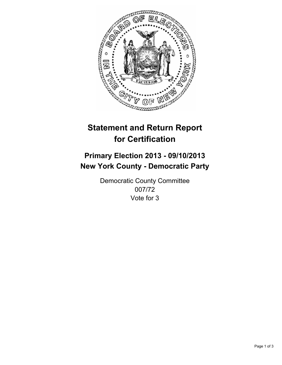

# **Statement and Return Report for Certification**

# **Primary Election 2013 - 09/10/2013 New York County - Democratic Party**

Democratic County Committee 007/72 Vote for 3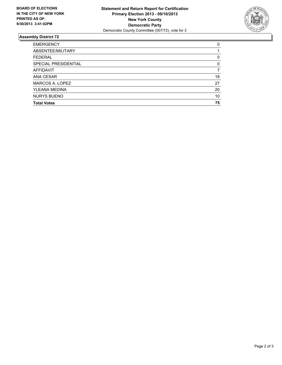

## **Assembly District 72**

| <b>EMERGENCY</b>     | 0  |
|----------------------|----|
| ABSENTEE/MILITARY    |    |
| <b>FEDERAL</b>       | 0  |
| SPECIAL PRESIDENTIAL | 0  |
| AFFIDAVIT            |    |
| ANA CESAR            | 18 |
| MARCOS A. LOPEZ      | 27 |
| YLEANA MEDINA        | 20 |
| <b>NURYS BUENO</b>   | 10 |
| <b>Total Votes</b>   | 75 |